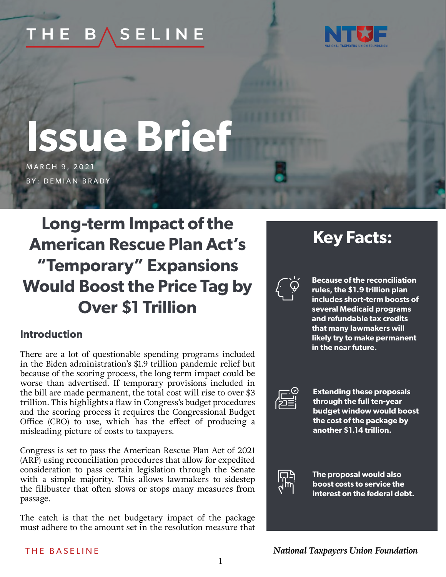#### THE **SELINE**  $\mathbf{B}$  ,



# **Issue Brief**

MARCH 9, 2021 **BY: DEMIAN BRADY** 

# **Long-term Impact of the American Rescue Plan Act's "Temporary" Expansions Would Boost the Price Tag by Over \$1 Trillion**

# **Introduction**

There are a lot of questionable spending programs included in the Biden administration's \$1.9 trillion pandemic relief but because of the scoring process, the long term impact could be worse than advertised. If temporary provisions included in the bill are made permanent, the total cost will rise to over \$3 trillion. This highlights a flaw in Congress's budget procedures and the scoring process it requires the Congressional Budget Office (CBO) to use, which has the effect of producing a misleading picture of costs to taxpayers.

Congress is set to pass the American Rescue Plan Act of 2021 (ARP) using reconciliation procedures that allow for expedited consideration to pass certain legislation through the Senate with a simple majority. This allows lawmakers to sidestep the filibuster that often slows or stops many measures from passage.

The catch is that the net budgetary impact of the package must adhere to the amount set in the resolution measure that

# **Key Facts:**



**Because of the reconciliation rules, the \$1.9 trillion plan includes short-term boosts of several Medicaid programs and refundable tax credits that many lawmakers will likely try to make permanent in the near future.**



**Extending these proposals through the full ten-year budget window would boost the cost of the package by another \$1.14 trillion.**



**The proposal would also boost costs to service the interest on the federal debt.**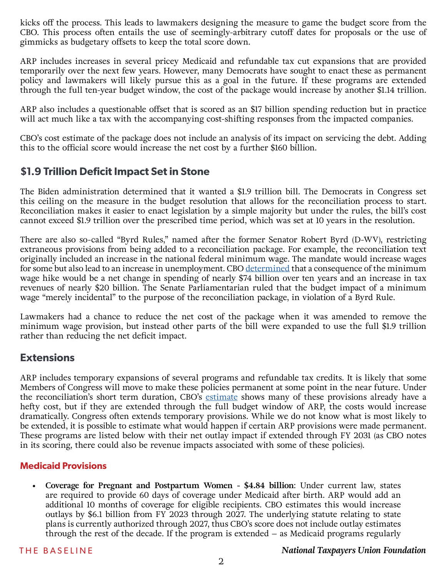kicks off the process. This leads to lawmakers designing the measure to game the budget score from the CBO. This process often entails the use of seemingly-arbitrary cutoff dates for proposals or the use of gimmicks as budgetary offsets to keep the total score down.

ARP includes increases in several pricey Medicaid and refundable tax cut expansions that are provided temporarily over the next few years. However, many Democrats have sought to enact these as permanent policy and lawmakers will likely pursue this as a goal in the future. If these programs are extended through the full ten-year budget window, the cost of the package would increase by another \$1.14 trillion.

ARP also includes a questionable offset that is scored as an \$17 billion spending reduction but in practice will act much like a tax with the accompanying cost-shifting responses from the impacted companies.

CBO's cost estimate of the package does not include an analysis of its impact on servicing the debt. Adding this to the official score would increase the net cost by a further \$160 billion.

# **\$1.9 Trillion Deficit Impact Set in Stone**

The Biden administration determined that it wanted a \$1.9 trillion bill. The Democrats in Congress set this ceiling on the measure in the budget resolution that allows for the reconciliation process to start. Reconciliation makes it easier to enact legislation by a simple majority but under the rules, the bill's cost cannot exceed \$1.9 trillion over the prescribed time period, which was set at 10 years in the resolution.

There are also so-called "Byrd Rules," named after the former Senator Robert Byrd (D-WV), restricting extraneous provisions from being added to a reconciliation package. For example, the reconciliation text originally included an increase in the national federal minimum wage. The mandate would increase wages for some but also lead to an increase in unemployment. CBO [determined](https://www.cbo.gov/system/files/2021-02/56975-Minimum-Wage.pdf) that a consequence of the minimum wage hike would be a net change in spending of nearly \$74 billion over ten years and an increase in tax revenues of nearly \$20 billion. The Senate Parliamentarian ruled that the budget impact of a minimum wage "merely incidental" to the purpose of the reconciliation package, in violation of a Byrd Rule.

Lawmakers had a chance to reduce the net cost of the package when it was amended to remove the minimum wage provision, but instead other parts of the bill were expanded to use the full \$1.9 trillion rather than reducing the net deficit impact.

# **Extensions**

ARP includes temporary expansions of several programs and refundable tax credits. It is likely that some Members of Congress will move to make these policies permanent at some point in the near future. Under the reconciliation's short term duration, CBO's [estimate](https://www.cbo.gov/publication/57045) shows many of these provisions already have a hefty cost, but if they are extended through the full budget window of ARP, the costs would increase dramatically. Congress often extends temporary provisions. While we do not know what is most likely to be extended, it is possible to estimate what would happen if certain ARP provisions were made permanent. These programs are listed below with their net outlay impact if extended through FY 2031 (as CBO notes in its scoring, there could also be revenue impacts associated with some of these policies).

#### **Medicaid Provisions**

**• Coverage for Pregnant and Postpartum Women - \$4.84 billion**: Under current law, states are required to provide 60 days of coverage under Medicaid after birth. ARP would add an additional 10 months of coverage for eligible recipients. CBO estimates this would increase outlays by \$6.1 billion from FY 2023 through 2027. The underlying statute relating to state plans is currently authorized through 2027, thus CBO's score does not include outlay estimates through the rest of the decade. If the program is extended – as Medicaid programs regularly

#### THE BASELINE *National Taxpayers Union Foundation*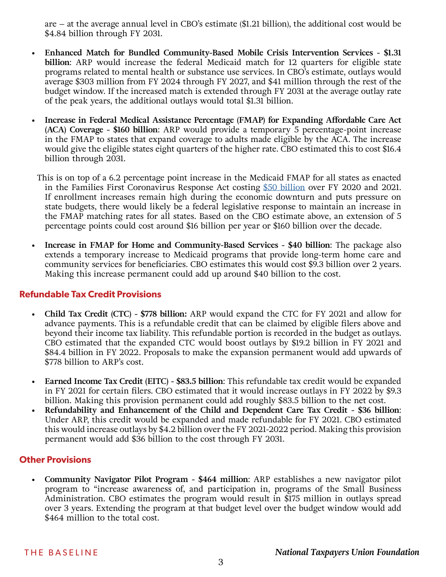are – at the average annual level in CBO's estimate (\$1.21 billion), the additional cost would be \$4.84 billion through FY 2031.

- **• Enhanced Match for Bundled Community-Based Mobile Crisis Intervention Services \$1.31 billion**: ARP would increase the federal Medicaid match for 12 quarters for eligible state programs related to mental health or substance use services. In CBO's estimate, outlays would average \$303 million from FY 2024 through FY 2027, and \$41 million through the rest of the budget window. If the increased match is extended through FY 2031 at the average outlay rate of the peak years, the additional outlays would total \$1.31 billion.
- **• Increase in Federal Medical Assistance Percentage (FMAP) for Expanding Affordable Care Act (ACA) Coverage - \$160 billion**: ARP would provide a temporary 5 percentage-point increase in the FMAP to states that expand coverage to adults made eligible by the ACA. The increase would give the eligible states eight quarters of the higher rate. CBO estimated this to cost \$16.4 billion through 2031.
	- This is on top of a 6.2 percentage point increase in the Medicaid FMAP for all states as enacted in the Families First Coronavirus Response Act costing [\\$50 billion](https://www.cbo.gov/system/files/2020-04/HR6201.pdf) over FY 2020 and 2021. If enrollment increases remain high during the economic downturn and puts pressure on state budgets, there would likely be a federal legislative response to maintain an increase in the FMAP matching rates for all states. Based on the CBO estimate above, an extension of 5 percentage points could cost around \$16 billion per year or \$160 billion over the decade.
- **• Increase in FMAP for Home and Community-Based Services \$40 billion**: The package also extends a temporary increase to Medicaid programs that provide long-term home care and community services for beneficiaries. CBO estimates this would cost \$9.3 billion over 2 years. Making this increase permanent could add up around \$40 billion to the cost.

#### **Refundable Tax Credit Provisions**

- **• Child Tax Credit (CTC) \$778 billion:** ARP would expand the CTC for FY 2021 and allow for advance payments. This is a refundable credit that can be claimed by eligible filers above and beyond their income tax liability. This refundable portion is recorded in the budget as outlays. CBO estimated that the expanded CTC would boost outlays by \$19.2 billion in FY 2021 and \$84.4 billion in FY 2022. Proposals to make the expansion permanent would add upwards of \$778 billion to ARP's cost.
- **• Earned Income Tax Credit (EITC) \$83.5 billion**: This refundable tax credit would be expanded in FY 2021 for certain filers. CBO estimated that it would increase outlays in FY 2022 by \$9.3 billion. Making this provision permanent could add roughly \$83.5 billion to the net cost.
- **• Refundability and Enhancement of the Child and Dependent Care Tax Credit \$36 billion**: Under ARP, this credit would be expanded and made refundable for FY 2021. CBO estimated this would increase outlays by \$4.2 billion over the FY 2021-2022 period. Making this provision permanent would add \$36 billion to the cost through FY 2031.

#### **Other Provisions**

**• Community Navigator Pilot Program - \$464 million**: ARP establishes a new navigator pilot program to "increase awareness of, and participation in, programs of the Small Business Administration. CBO estimates the program would result in \$175 million in outlays spread over 3 years. Extending the program at that budget level over the budget window would add \$464 million to the total cost.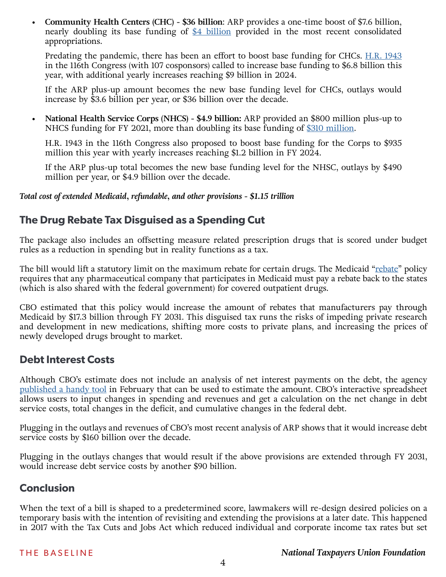**• Community Health Centers (CHC) - \$36 billion**: ARP provides a one-time boost of \$7.6 billion, nearly doubling its base funding of  $$4$  billion provided in the most recent consolidated appropriations.

Predating the pandemic, there has been an effort to boost base funding for CHCs. **H.R. 1943** in the 116th Congress (with 107 cosponsors) called to increase base funding to \$6.8 billion this year, with additional yearly increases reaching \$9 billion in 2024.

If the ARP plus-up amount becomes the new base funding level for CHCs, outlays would increase by \$3.6 billion per year, or \$36 billion over the decade.

**• National Health Service Corps (NHCS) - \$4.9 billion:** ARP provided an \$800 million plus-up to NHCS funding for FY 2021, more than doubling its base funding of [\\$310 million](https://www.congress.gov/bill/116th-congress/house-bill/133/text).

H.R. 1943 in the 116th Congress also proposed to boost base funding for the Corps to \$935 million this year with yearly increases reaching \$1.2 billion in FY 2024.

If the ARP plus-up total becomes the new base funding level for the NHSC, outlays by \$490 million per year, or \$4.9 billion over the decade.

*Total cost of extended Medicaid, refundable, and other provisions - \$1.15 trillion*

# **The Drug Rebate Tax Disguised as a Spending Cut**

The package also includes an offsetting measure related prescription drugs that is scored under budget rules as a reduction in spending but in reality functions as a tax.

The bill would lift a statutory limit on the maximum [rebate](https://www.ntu.org/foundation/detail/cbos-approach-to-scoring-drug-rebates-paints-inaccurate-picture-of-savings) for certain drugs. The Medicaid "rebate" policy requires that any pharmaceutical company that participates in Medicaid must pay a rebate back to the states (which is also shared with the federal government) for covered outpatient drugs.

CBO estimated that this policy would increase the amount of rebates that manufacturers pay through Medicaid by \$17.3 billion through FY 2031. This disguised tax runs the risks of impeding private research and development in new medications, shifting more costs to private plans, and increasing the prices of newly developed drugs brought to market.

# **Debt Interest Costs**

Although CBO's estimate does not include an analysis of net interest payments on the debt, the agency [published a handy tool](https://www.cbo.gov/publication/56993) in February that can be used to estimate the amount. CBO's interactive spreadsheet allows users to input changes in spending and revenues and get a calculation on the net change in debt service costs, total changes in the deficit, and cumulative changes in the federal debt.

Plugging in the outlays and revenues of CBO's most recent analysis of ARP shows that it would increase debt service costs by \$160 billion over the decade.

Plugging in the outlays changes that would result if the above provisions are extended through FY 2031, would increase debt service costs by another \$90 billion.

# **Conclusion**

When the text of a bill is shaped to a predetermined score, lawmakers will re-design desired policies on a temporary basis with the intention of revisiting and extending the provisions at a later date. This happened in 2017 with the Tax Cuts and Jobs Act which reduced individual and corporate income tax rates but set